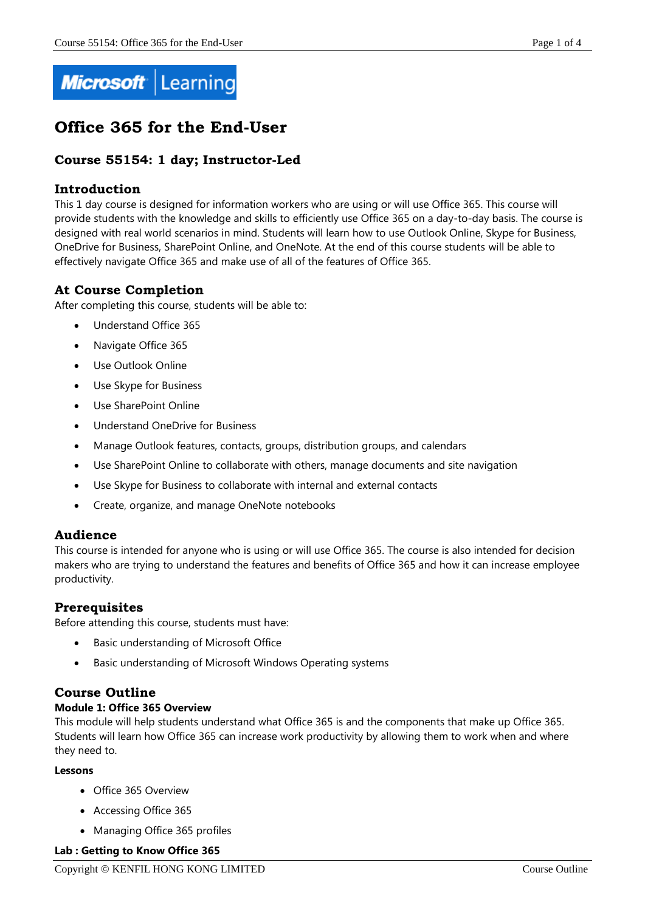

# **Office 365 for the End-User**

# **Course 55154: 1 day; Instructor-Led**

# **Introduction**

This 1 day course is designed for information workers who are using or will use Office 365. This course will provide students with the knowledge and skills to efficiently use Office 365 on a day-to-day basis. The course is designed with real world scenarios in mind. Students will learn how to use Outlook Online, Skype for Business, OneDrive for Business, SharePoint Online, and OneNote. At the end of this course students will be able to effectively navigate Office 365 and make use of all of the features of Office 365.

# **At Course Completion**

After completing this course, students will be able to:

- Understand Office 365
- Navigate Office 365
- Use Outlook Online
- Use Skype for Business
- Use SharePoint Online
- Understand OneDrive for Business
- Manage Outlook features, contacts, groups, distribution groups, and calendars
- Use SharePoint Online to collaborate with others, manage documents and site navigation
- Use Skype for Business to collaborate with internal and external contacts
- Create, organize, and manage OneNote notebooks

# **Audience**

This course is intended for anyone who is using or will use Office 365. The course is also intended for decision makers who are trying to understand the features and benefits of Office 365 and how it can increase employee productivity.

# **Prerequisites**

Before attending this course, students must have:

- Basic understanding of Microsoft Office
- Basic understanding of Microsoft Windows Operating systems

# **Course Outline**

## **Module 1: Office 365 Overview**

This module will help students understand what Office 365 is and the components that make up Office 365. Students will learn how Office 365 can increase work productivity by allowing them to work when and where they need to.

## **Lessons**

- Office 365 Overview
- Accessing Office 365
- Managing Office 365 profiles

## **Lab : Getting to Know Office 365**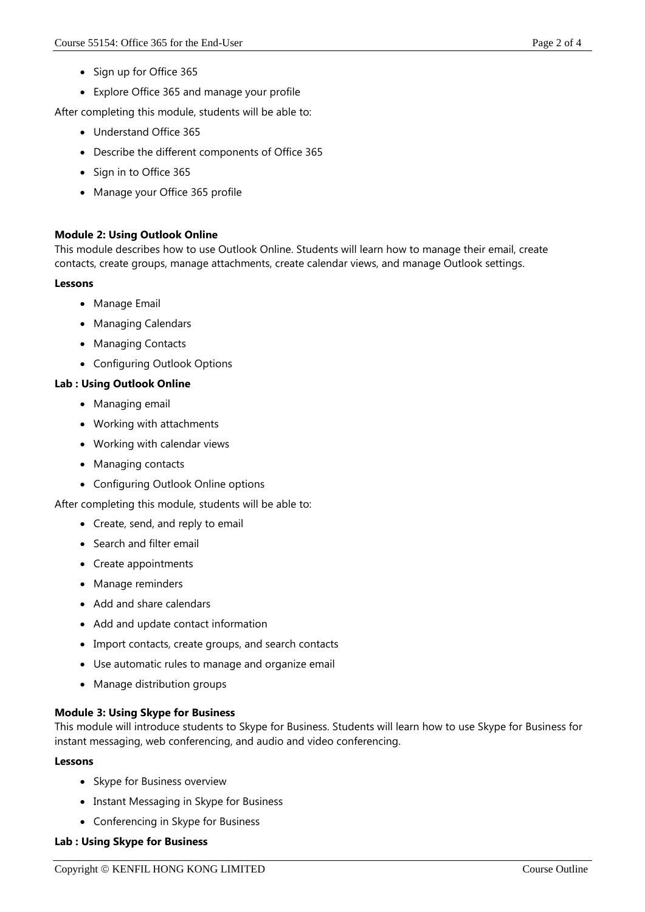- Sign up for Office 365
- Explore Office 365 and manage your profile

After completing this module, students will be able to:

- Understand Office 365
- Describe the different components of Office 365
- Sign in to Office 365
- Manage your Office 365 profile

# **Module 2: Using Outlook Online**

This module describes how to use Outlook Online. Students will learn how to manage their email, create contacts, create groups, manage attachments, create calendar views, and manage Outlook settings.

#### **Lessons**

- Manage Email
- Managing Calendars
- Managing Contacts
- Configuring Outlook Options

# **Lab : Using Outlook Online**

- Managing email
- Working with attachments
- Working with calendar views
- Managing contacts
- Configuring Outlook Online options

After completing this module, students will be able to:

- Create, send, and reply to email
- Search and filter email
- Create appointments
- Manage reminders
- Add and share calendars
- Add and update contact information
- Import contacts, create groups, and search contacts
- Use automatic rules to manage and organize email
- Manage distribution groups

# **Module 3: Using Skype for Business**

This module will introduce students to Skype for Business. Students will learn how to use Skype for Business for instant messaging, web conferencing, and audio and video conferencing.

## **Lessons**

- Skype for Business overview
- Instant Messaging in Skype for Business
- Conferencing in Skype for Business

## **Lab : Using Skype for Business**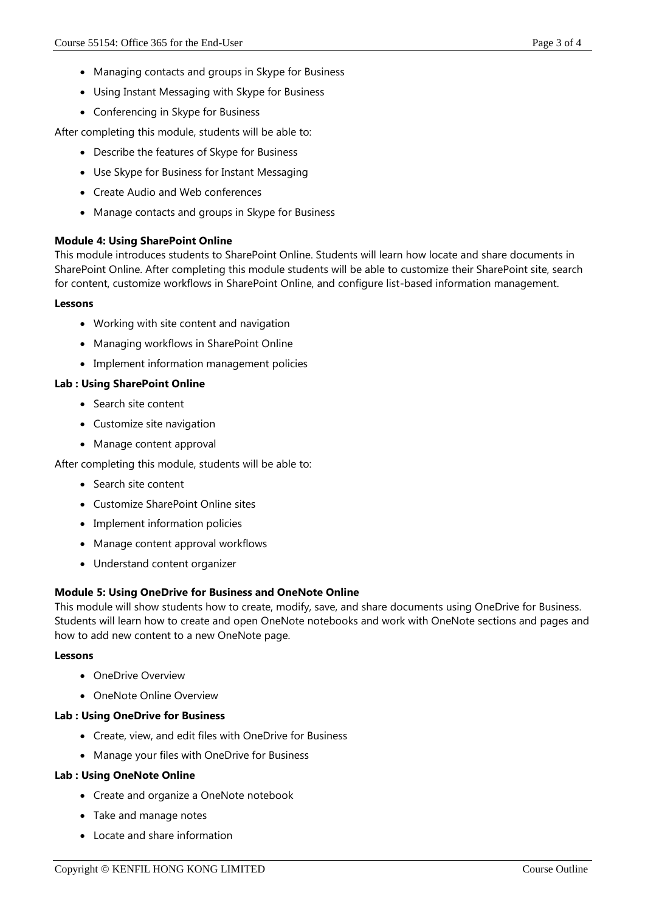- Managing contacts and groups in Skype for Business
- Using Instant Messaging with Skype for Business
- Conferencing in Skype for Business

After completing this module, students will be able to:

- Describe the features of Skype for Business
- Use Skype for Business for Instant Messaging
- Create Audio and Web conferences
- Manage contacts and groups in Skype for Business

# **Module 4: Using SharePoint Online**

This module introduces students to SharePoint Online. Students will learn how locate and share documents in SharePoint Online. After completing this module students will be able to customize their SharePoint site, search for content, customize workflows in SharePoint Online, and configure list-based information management.

## **Lessons**

- Working with site content and navigation
- Managing workflows in SharePoint Online
- Implement information management policies

# **Lab : Using SharePoint Online**

- Search site content
- Customize site navigation
- Manage content approval

After completing this module, students will be able to:

- Search site content
- Customize SharePoint Online sites
- Implement information policies
- Manage content approval workflows
- Understand content organizer

## **Module 5: Using OneDrive for Business and OneNote Online**

This module will show students how to create, modify, save, and share documents using OneDrive for Business. Students will learn how to create and open OneNote notebooks and work with OneNote sections and pages and how to add new content to a new OneNote page.

## **Lessons**

- OneDrive Overview
- OneNote Online Overview

## **Lab : Using OneDrive for Business**

- Create, view, and edit files with OneDrive for Business
- Manage your files with OneDrive for Business

## **Lab : Using OneNote Online**

- Create and organize a OneNote notebook
- Take and manage notes
- Locate and share information